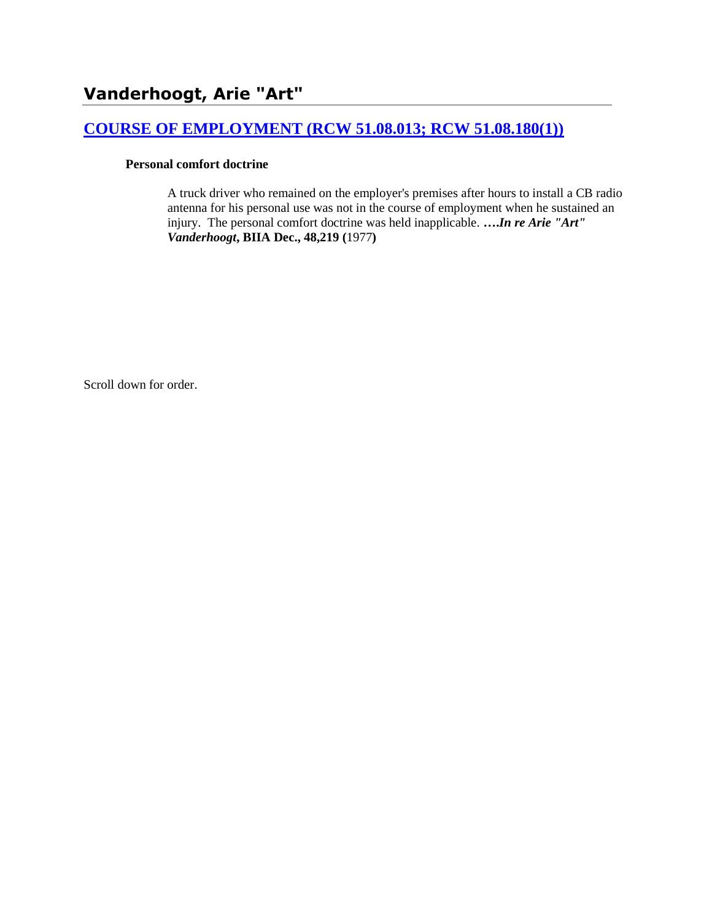# **[COURSE OF EMPLOYMENT \(RCW 51.08.013; RCW 51.08.180\(1\)\)](http://www.biia.wa.gov/SDSubjectIndex.html#COURSE_OF_EMPLOYMENT)**

#### **Personal comfort doctrine**

A truck driver who remained on the employer's premises after hours to install a CB radio antenna for his personal use was not in the course of employment when he sustained an injury. The personal comfort doctrine was held inapplicable. **….***In re Arie "Art" Vanderhoogt***, BIIA Dec., 48,219 (**1977**)**

Scroll down for order.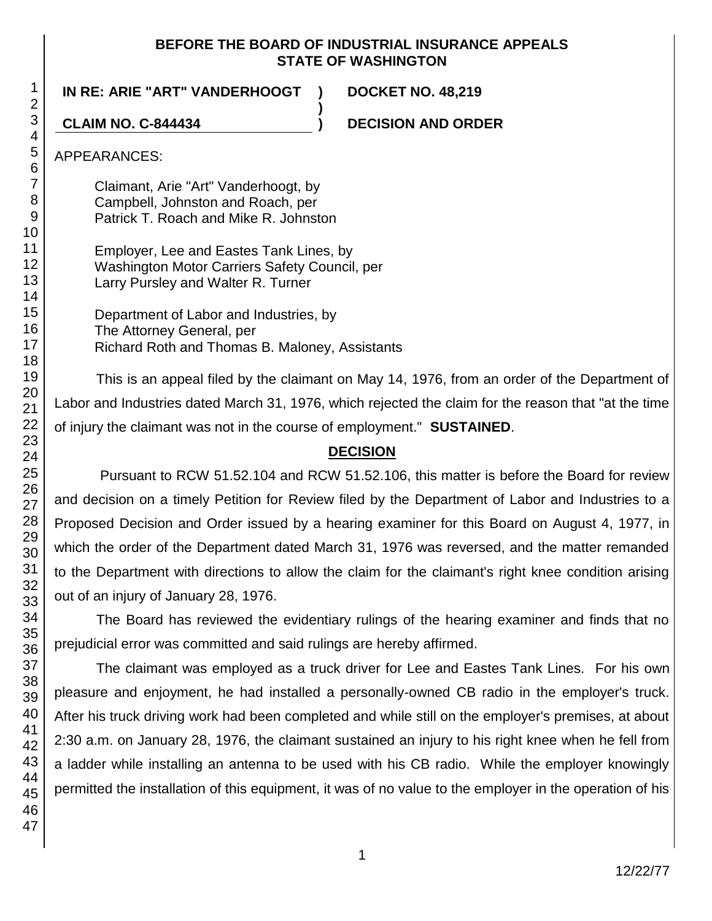### **BEFORE THE BOARD OF INDUSTRIAL INSURANCE APPEALS STATE OF WASHINGTON**

**)**

**IN RE: ARIE "ART" VANDERHOOGT ) DOCKET NO. 48,219**

**CLAIM NO. C-844434 ) DECISION AND ORDER**

APPEARANCES:

Claimant, Arie "Art" Vanderhoogt, by Campbell, Johnston and Roach, per Patrick T. Roach and Mike R. Johnston

Employer, Lee and Eastes Tank Lines, by Washington Motor Carriers Safety Council, per Larry Pursley and Walter R. Turner

Department of Labor and Industries, by The Attorney General, per Richard Roth and Thomas B. Maloney, Assistants

This is an appeal filed by the claimant on May 14, 1976, from an order of the Department of Labor and Industries dated March 31, 1976, which rejected the claim for the reason that "at the time of injury the claimant was not in the course of employment." **SUSTAINED**.

# **DECISION**

Pursuant to RCW 51.52.104 and RCW 51.52.106, this matter is before the Board for review and decision on a timely Petition for Review filed by the Department of Labor and Industries to a Proposed Decision and Order issued by a hearing examiner for this Board on August 4, 1977, in which the order of the Department dated March 31, 1976 was reversed, and the matter remanded to the Department with directions to allow the claim for the claimant's right knee condition arising out of an injury of January 28, 1976.

The Board has reviewed the evidentiary rulings of the hearing examiner and finds that no prejudicial error was committed and said rulings are hereby affirmed.

The claimant was employed as a truck driver for Lee and Eastes Tank Lines. For his own pleasure and enjoyment, he had installed a personally-owned CB radio in the employer's truck. After his truck driving work had been completed and while still on the employer's premises, at about 2:30 a.m. on January 28, 1976, the claimant sustained an injury to his right knee when he fell from a ladder while installing an antenna to be used with his CB radio. While the employer knowingly permitted the installation of this equipment, it was of no value to the employer in the operation of his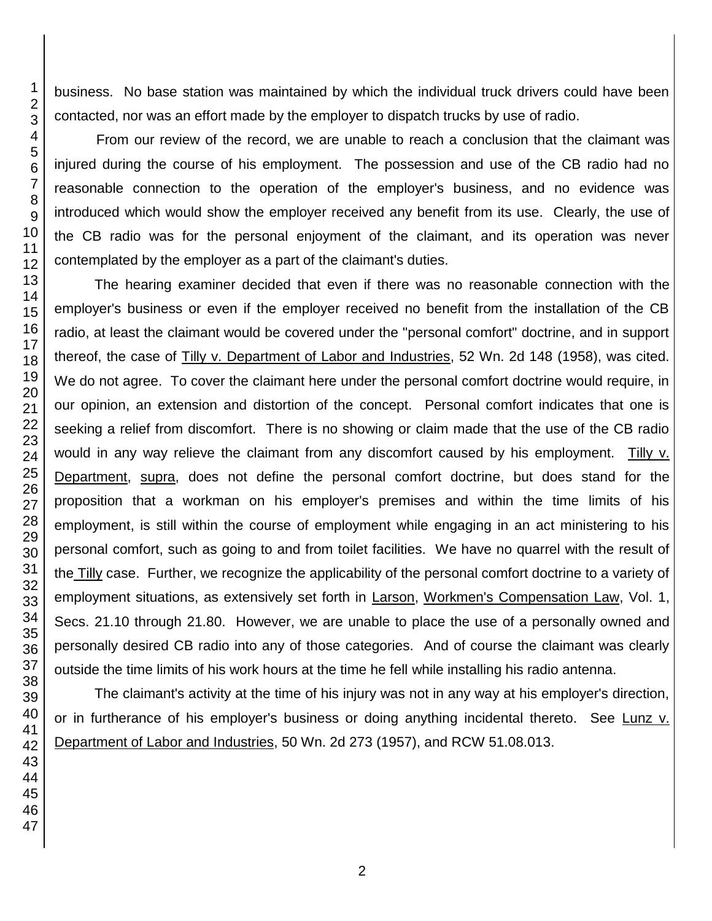business. No base station was maintained by which the individual truck drivers could have been contacted, nor was an effort made by the employer to dispatch trucks by use of radio.

From our review of the record, we are unable to reach a conclusion that the claimant was injured during the course of his employment. The possession and use of the CB radio had no reasonable connection to the operation of the employer's business, and no evidence was introduced which would show the employer received any benefit from its use. Clearly, the use of the CB radio was for the personal enjoyment of the claimant, and its operation was never contemplated by the employer as a part of the claimant's duties.

The hearing examiner decided that even if there was no reasonable connection with the employer's business or even if the employer received no benefit from the installation of the CB radio, at least the claimant would be covered under the "personal comfort" doctrine, and in support thereof, the case of Tilly v. Department of Labor and Industries, 52 Wn. 2d 148 (1958), was cited. We do not agree. To cover the claimant here under the personal comfort doctrine would require, in our opinion, an extension and distortion of the concept. Personal comfort indicates that one is seeking a relief from discomfort. There is no showing or claim made that the use of the CB radio would in any way relieve the claimant from any discomfort caused by his employment. Tilly v. Department, supra, does not define the personal comfort doctrine, but does stand for the proposition that a workman on his employer's premises and within the time limits of his employment, is still within the course of employment while engaging in an act ministering to his personal comfort, such as going to and from toilet facilities. We have no quarrel with the result of the Tilly case. Further, we recognize the applicability of the personal comfort doctrine to a variety of employment situations, as extensively set forth in Larson, Workmen's Compensation Law, Vol. 1, Secs. 21.10 through 21.80. However, we are unable to place the use of a personally owned and personally desired CB radio into any of those categories. And of course the claimant was clearly outside the time limits of his work hours at the time he fell while installing his radio antenna.

The claimant's activity at the time of his injury was not in any way at his employer's direction, or in furtherance of his employer's business or doing anything incidental thereto. See Lunz v. Department of Labor and Industries, 50 Wn. 2d 273 (1957), and RCW 51.08.013.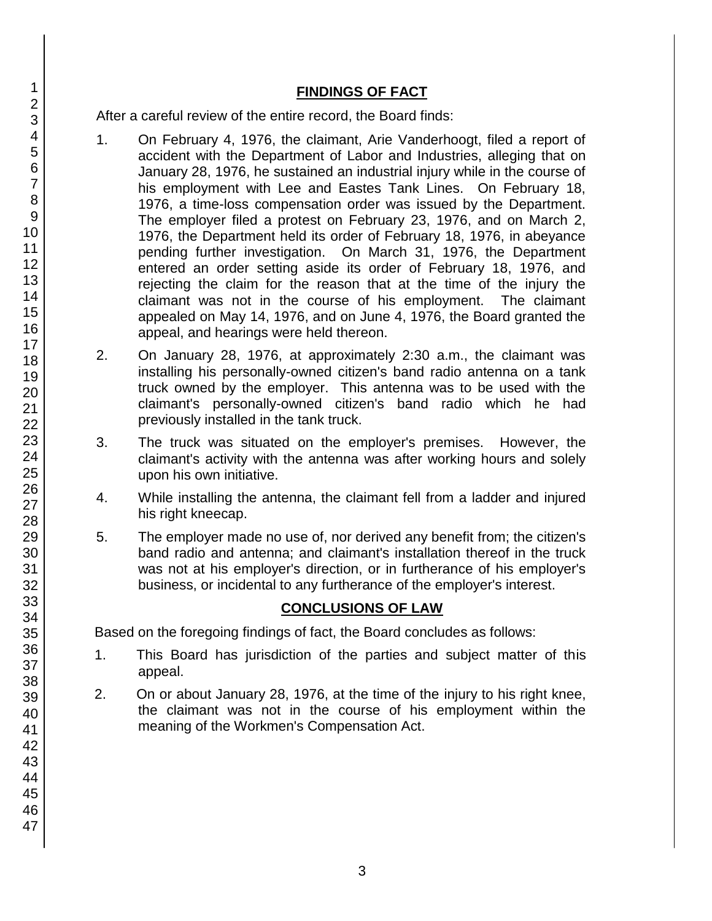## **FINDINGS OF FACT**

After a careful review of the entire record, the Board finds:

- 1. On February 4, 1976, the claimant, Arie Vanderhoogt, filed a report of accident with the Department of Labor and Industries, alleging that on January 28, 1976, he sustained an industrial injury while in the course of his employment with Lee and Eastes Tank Lines. On February 18, 1976, a time-loss compensation order was issued by the Department. The employer filed a protest on February 23, 1976, and on March 2, 1976, the Department held its order of February 18, 1976, in abeyance pending further investigation. On March 31, 1976, the Department entered an order setting aside its order of February 18, 1976, and rejecting the claim for the reason that at the time of the injury the claimant was not in the course of his employment. The claimant appealed on May 14, 1976, and on June 4, 1976, the Board granted the appeal, and hearings were held thereon.
- 2. On January 28, 1976, at approximately 2:30 a.m., the claimant was installing his personally-owned citizen's band radio antenna on a tank truck owned by the employer. This antenna was to be used with the claimant's personally-owned citizen's band radio which he had previously installed in the tank truck.
- 3. The truck was situated on the employer's premises. However, the claimant's activity with the antenna was after working hours and solely upon his own initiative.
- 4. While installing the antenna, the claimant fell from a ladder and injured his right kneecap.
- 5. The employer made no use of, nor derived any benefit from; the citizen's band radio and antenna; and claimant's installation thereof in the truck was not at his employer's direction, or in furtherance of his employer's business, or incidental to any furtherance of the employer's interest.

# **CONCLUSIONS OF LAW**

Based on the foregoing findings of fact, the Board concludes as follows:

- 1. This Board has jurisdiction of the parties and subject matter of this appeal.
- 2. On or about January 28, 1976, at the time of the injury to his right knee, the claimant was not in the course of his employment within the meaning of the Workmen's Compensation Act.